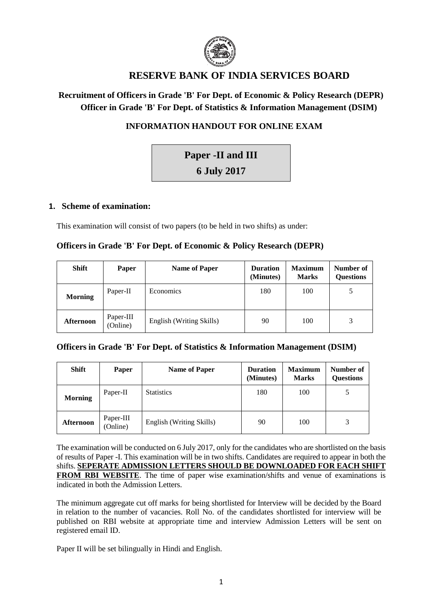

# **RESERVE BANK OF INDIA SERVICES BOARD**

# **Recruitment of Officers in Grade 'B' For Dept. of Economic & Policy Research (DEPR) Officer in Grade 'B' For Dept. of Statistics & Information Management (DSIM)**

# **INFORMATION HANDOUT FOR ONLINE EXAM**

# **Paper -II and III**

**6 July 2017**

# **1. Scheme of examination:**

This examination will consist of two papers (to be held in two shifts) as under:

# **Officers in Grade 'B' For Dept. of Economic & Policy Research (DEPR)**

| <b>Shift</b>     | Paper                 | <b>Name of Paper</b>     | <b>Duration</b><br>(Minutes) | <b>Maximum</b><br><b>Marks</b> | Number of<br><b>Questions</b> |
|------------------|-----------------------|--------------------------|------------------------------|--------------------------------|-------------------------------|
| <b>Morning</b>   | Paper-II              | <b>Economics</b>         | 180                          | 100                            |                               |
| <b>Afternoon</b> | Paper-III<br>(Online) | English (Writing Skills) | 90                           | 100                            | 3                             |

# **Officers in Grade 'B' For Dept. of Statistics & Information Management (DSIM)**

| <b>Shift</b>   | Paper                 | <b>Name of Paper</b>     | <b>Duration</b><br>(Minutes) | <b>Maximum</b><br><b>Marks</b> | Number of<br><b>Questions</b> |
|----------------|-----------------------|--------------------------|------------------------------|--------------------------------|-------------------------------|
| <b>Morning</b> | Paper-II              | <b>Statistics</b>        | 180                          | 100                            |                               |
| Afternoon      | Paper-III<br>(Online) | English (Writing Skills) | 90                           | 100                            | 3                             |

The examination will be conducted on 6 July 2017, only for the candidates who are shortlisted on the basis of results of Paper -I. This examination will be in two shifts. Candidates are required to appear in both the shifts. **SEPERATE ADMISSION LETTERS SHOULD BE DOWNLOADED FOR EACH SHIFT FROM RBI WEBSITE**. The time of paper wise examination/shifts and venue of examinations is indicated in both the Admission Letters.

The minimum aggregate cut off marks for being shortlisted for Interview will be decided by the Board in relation to the number of vacancies. Roll No. of the candidates shortlisted for interview will be published on RBI website at appropriate time and interview Admission Letters will be sent on registered email ID.

Paper II will be set bilingually in Hindi and English.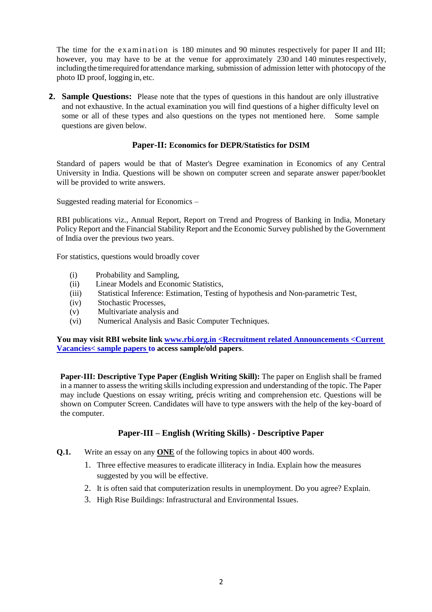The time for the examination is 180 minutes and 90 minutes respectively for paper II and III; however, you may have to be at the venue for approximately 230 and 140 minutes respectively, including the time required for attendance marking, submission of admission letter with photocopy of the photo ID proof, logging in, etc.

**2. Sample Questions:** Please note that the types of questions in this handout are only illustrative and not exhaustive. In the actual examination you will find questions of a higher difficulty level on some or all of these types and also questions on the types not mentioned here. Some sample questions are given below.

## **Paper-II: Economics for DEPR/Statistics for DSIM**

Standard of papers would be that of Master's Degree examination in Economics of any Central University in India. Questions will be shown on computer screen and separate answer paper/booklet will be provided to write answers.

Suggested reading material for Economics –

RBI publications viz., Annual Report, Report on Trend and Progress of Banking in India, Monetary Policy Report and the Financial Stability Report and the Economic Survey published by the Government of India over the previous two years.

For statistics, questions would broadly cover

- (i) Probability and Sampling,
- (ii) Linear Models and Economic Statistics,
- (iii) Statistical Inference: Estimation, Testing of hypothesis and Non-parametric Test,
- (iv) Stochastic Processes,
- (v) Multivariate analysis and
- (vi) Numerical Analysis and Basic Computer Techniques.

**You may visit RBI website link www.rbi.org.in <Recruitment related Announcements <Current Vacancies< sample papers to access sample/old papers**.

**Paper-III: Descriptive Type Paper (English Writing Skill):** The paper on English shall be framed in a manner to assess the writing skills including expression and understanding of the topic. The Paper may include Questions on essay writing, précis writing and comprehension etc. Questions will be shown on Computer Screen. Candidates will have to type answers with the help of the key-board of the computer.

# **Paper-III – English (Writing Skills) - Descriptive Paper**

- **Q.1.** Write an essay on any **ONE** of the following topics in about 400 words.
	- 1. Three effective measures to eradicate illiteracy in India. Explain how the measures suggested by you will be effective.
	- 2. It is often said that computerization results in unemployment. Do you agree? Explain.
	- 3. High Rise Buildings: Infrastructural and Environmental Issues.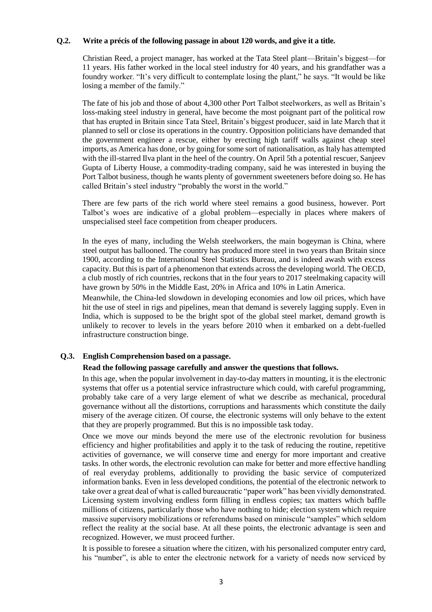#### **Q.2. Write a précis of the following passage in about 120 words, and give it a title.**

Christian Reed, a project manager, has worked at the Tata Steel plant—Britain's biggest—for 11 years. His father worked in the local steel industry for 40 years, and his grandfather was a foundry worker. "It's very difficult to contemplate losing the plant," he says. "It would be like losing a member of the family."

The fate of his job and those of about 4,300 other Port Talbot steelworkers, as well as Britain's loss-making steel industry in general, have become the most poignant part of the political row that has erupted in Britain since Tata Steel, Britain's biggest producer, said in late March that it planned to sell or close its operations in the country. Opposition politicians have demanded that the government engineer a rescue, either by erecting high tariff walls against cheap steel imports, as America has done, or by going for some sort of nationalisation, as Italy has attempted with the ill-starred Ilva plant in the heel of the country. On April 5th a potential rescuer, Sanjeev Gupta of Liberty House, a commodity-trading company, said he was interested in buying the Port Talbot business, though he wants plenty of government sweeteners before doing so. He has called Britain's steel industry "probably the worst in the world."

There are few parts of the rich world where steel remains a good business, however. Port Talbot's woes are indicative of a global problem—especially in places where makers of unspecialised steel face competition from cheaper producers.

In the eyes of many, including the Welsh steelworkers, the main bogeyman is China, where steel output has ballooned. The country has produced more steel in two years than Britain since 1900, according to the International Steel Statistics Bureau, and is indeed awash with excess capacity. But this is part of a phenomenon that extends across the developing world. The OECD, a club mostly of rich countries, reckons that in the four years to 2017 steelmaking capacity will have grown by 50% in the Middle East, 20% in Africa and 10% in Latin America.

Meanwhile, the China-led slowdown in developing economies and low oil prices, which have hit the use of steel in rigs and pipelines, mean that demand is severely lagging supply. Even in India, which is supposed to be the bright spot of the global steel market, demand growth is unlikely to recover to levels in the years before 2010 when it embarked on a debt-fuelled infrastructure construction binge.

#### **Q.3. English Comprehension based on a passage.**

#### **Read the following passage carefully and answer the questions that follows.**

In this age, when the popular involvement in day-to-day matters in mounting, it is the electronic systems that offer us a potential service infrastructure which could, with careful programming, probably take care of a very large element of what we describe as mechanical, procedural governance without all the distortions, corruptions and harassments which constitute the daily misery of the average citizen. Of course, the electronic systems will only behave to the extent that they are properly programmed. But this is no impossible task today.

Once we move our minds beyond the mere use of the electronic revolution for business efficiency and higher profitabilities and apply it to the task of reducing the routine, repetitive activities of governance, we will conserve time and energy for more important and creative tasks. In other words, the electronic revolution can make for better and more effective handling of real everyday problems, additionally to providing the basic service of computerized information banks. Even in less developed conditions, the potential of the electronic network to take over a great deal of what is called bureaucratic "paper work" has been vividly demonstrated. Licensing system involving endless form filling in endless copies; tax matters which baffle millions of citizens, particularly those who have nothing to hide; election system which require massive supervisory mobilizations or referendums based on miniscule "samples" which seldom reflect the reality at the social base. At all these points, the electronic advantage is seen and recognized. However, we must proceed further.

It is possible to foresee a situation where the citizen, with his personalized computer entry card, his "number", is able to enter the electronic network for a variety of needs now serviced by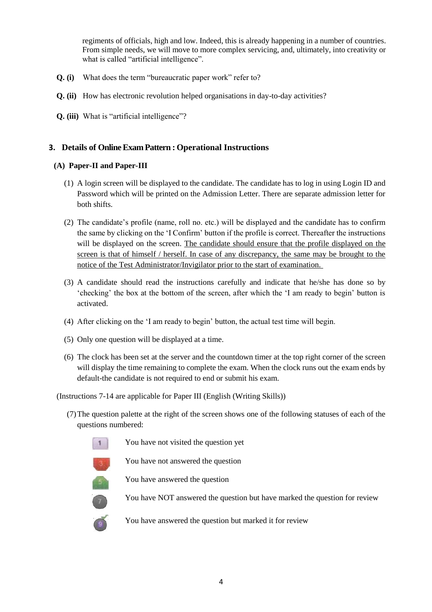regiments of officials, high and low. Indeed, this is already happening in a number of countries. From simple needs, we will move to more complex servicing, and, ultimately, into creativity or what is called "artificial intelligence".

- **Q. (i)** What does the term "bureaucratic paper work" refer to?
- **Q. (ii)** How has electronic revolution helped organisations in day-to-day activities?
- **Q. (iii)** What is "artificial intelligence"?

# **3. Details of Online Exam Pattern : Operational Instructions**

### **(A) Paper-II and Paper-III**

- (1) A login screen will be displayed to the candidate. The candidate has to log in using Login ID and Password which will be printed on the Admission Letter. There are separate admission letter for both shifts.
- (2) The candidate's profile (name, roll no. etc.) will be displayed and the candidate has to confirm the same by clicking on the 'I Confirm' button if the profile is correct. Thereafter the instructions will be displayed on the screen. The candidate should ensure that the profile displayed on the screen is that of himself / herself. In case of any discrepancy, the same may be brought to the notice of the Test Administrator/Invigilator prior to the start of examination.
- (3) A candidate should read the instructions carefully and indicate that he/she has done so by 'checking' the box at the bottom of the screen, after which the 'I am ready to begin' button is activated.
- (4) After clicking on the 'I am ready to begin' button, the actual test time will begin.
- (5) Only one question will be displayed at a time.
- (6) The clock has been set at the server and the countdown timer at the top right corner of the screen will display the time remaining to complete the exam. When the clock runs out the exam ends by default-the candidate is not required to end or submit his exam.

(Instructions 7-14 are applicable for Paper III (English (Writing Skills))

(7)The question palette at the right of the screen shows one of the following statuses of each of the questions numbered:



You have not visited the question yet

You have not answered the question

You have answered the question

You have NOT answered the question but have marked the question for review

You have answered the question but marked it for review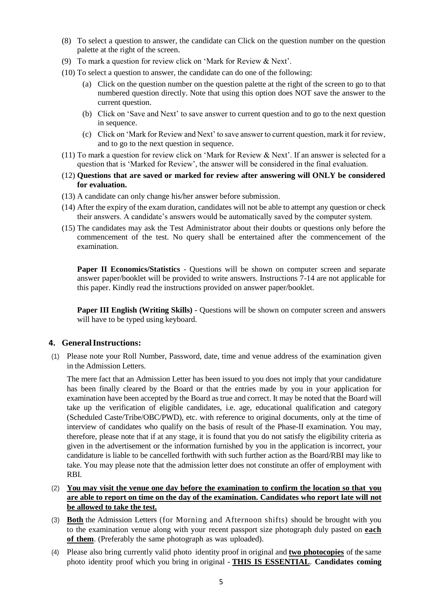- (8) To select a question to answer, the candidate can Click on the question number on the question palette at the right of the screen.
- (9) To mark a question for review click on 'Mark for Review & Next'.
- (10) To select a question to answer, the candidate can do one of the following:
	- (a) Click on the question number on the question palette at the right of the screen to go to that numbered question directly. Note that using this option does NOT save the answer to the current question.
	- (b) Click on 'Save and Next' to save answer to current question and to go to the next question in sequence.
	- (c) Click on 'Mark for Review and Next' to save answer to current question, mark it for review, and to go to the next question in sequence.
- (11) To mark a question for review click on 'Mark for Review & Next'. If an answer is selected for a question that is 'Marked for Review', the answer will be considered in the final evaluation.
- (12) **Questions that are saved or marked for review after answering will ONLY be considered for evaluation.**
- (13) A candidate can only change his/her answer before submission.
- (14) After the expiry of the exam duration, candidates will not be able to attempt any question or check their answers. A candidate's answers would be automatically saved by the computer system.
- (15) The candidates may ask the Test Administrator about their doubts or questions only before the commencement of the test. No query shall be entertained after the commencement of the examination.

**Paper II Economics/Statistics** - Questions will be shown on computer screen and separate answer paper/booklet will be provided to write answers. Instructions 7-14 are not applicable for this paper. Kindly read the instructions provided on answer paper/booklet.

**Paper III English (Writing Skills) -** Questions will be shown on computer screen and answers will have to be typed using keyboard.

#### **4. GeneralInstructions:**

(1) Please note your Roll Number, Password, date, time and venue address of the examination given in the Admission Letters.

The mere fact that an Admission Letter has been issued to you does not imply that your candidature has been finally cleared by the Board or that the entries made by you in your application for examination have been accepted by the Board as true and correct. It may be noted that the Board will take up the verification of eligible candidates, i.e. age, educational qualification and category (Scheduled Caste/Tribe/OBC/PWD), etc. with reference to original documents, only at the time of interview of candidates who qualify on the basis of result of the Phase-II examination. You may, therefore, please note that if at any stage, it is found that you do not satisfy the eligibility criteria as given in the advertisement or the information furnished by you in the application is incorrect, your candidature is liable to be cancelled forthwith with such further action as the Board/RBI may like to take. You may please note that the admission letter does not constitute an offer of employment with RBI.

- (2) **You may visit the venue one day before the examination to confirm the location so that you are able to report on time on the day of the examination. Candidates who report late will not be allowed to take the test.**
- (3) **Both** the Admission Letters (for Morning and Afternoon shifts) should be brought with you to the examination venue along with your recent passport size photograph duly pasted on **each of them**. (Preferably the same photograph as was uploaded).
- (4) Please also bring currently valid photo identity proof in original and **two photocopies** of the same photo identity proof which you bring in original - **THIS IS ESSENTIAL**. **Candidates coming**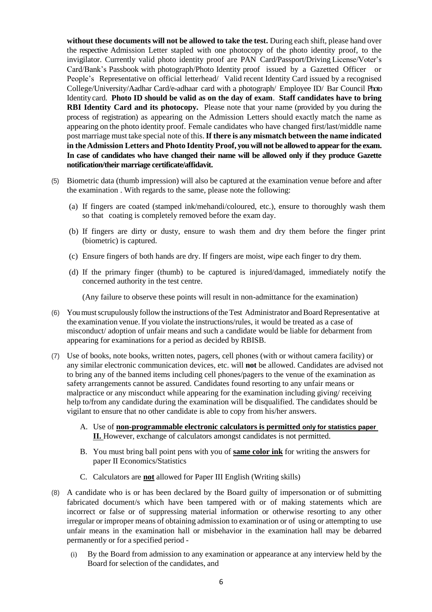**without these documents will not be allowed to take the test.** During each shift, please hand over the respective Admission Letter stapled with one photocopy of the photo identity proof, to the invigilator. Currently valid photo identity proof are PAN Card/Passport/Driving License/Voter's Card/Bank's Passbook with photograph/Photo Identity proof issued by a Gazetted Officer or People's Representative on official letterhead/ Valid recent Identity Card issued by a recognised College/University/Aadhar Card/e-adhaar card with a photograph/ Employee ID/ Bar Council Photo Identity card. **Photo ID should be valid as on the day of exam**. **Staff candidates have to bring RBI Identity Card and its photocopy.** Please note that your name (provided by you during the process of registration) as appearing on the Admission Letters should exactly match the name as appearing on the photo identity proof. Female candidates who have changed first/last/middle name post marriage must take special note of this.**If there is any mismatch between the name indicated in the Admission Letters and Photo Identity Proof, you will not be allowed to appear for the exam. In case of candidates who have changed their name will be allowed only if they produce Gazette notification/their marriage certificate/affidavit.**

- (5) Biometric data (thumb impression) will also be captured at the examination venue before and after the examination . With regards to the same, please note the following:
	- (a) If fingers are coated (stamped ink/mehandi/coloured, etc.), ensure to thoroughly wash them so that coating is completely removed before the exam day.
	- (b) If fingers are dirty or dusty, ensure to wash them and dry them before the finger print (biometric) is captured.
	- (c) Ensure fingers of both hands are dry. If fingers are moist, wipe each finger to dry them.
	- (d) If the primary finger (thumb) to be captured is injured/damaged, immediately notify the concerned authority in the test centre.

(Any failure to observe these points will result in non-admittance for the examination)

- (6) You must scrupulously follow the instructions of the Test Administrator and Board Representative at the examination venue.If you violate the instructions/rules, it would be treated as a case of misconduct/ adoption of unfair means and such a candidate would be liable for debarment from appearing for examinations for a period as decided by RBISB.
- (7) Use of books, note books, written notes, pagers, cell phones (with or without camera facility) or any similar electronic communication devices, etc. will **not** be allowed. Candidates are advised not to bring any of the banned items including cell phones/pagers to the venue of the examination as safety arrangements cannot be assured. Candidates found resorting to any unfair means or malpractice or any misconduct while appearing for the examination including giving/ receiving help to/from any candidate during the examination will be disqualified. The candidates should be vigilant to ensure that no other candidate is able to copy from his/her answers.
	- A. Use of **non-programmable electronic calculators is permitted only for statistics paper II.** However, exchange of calculators amongst candidates is not permitted.
	- B. You must bring ball point pens with you of **same color ink** for writing the answers for paper II Economics/Statistics
	- C. Calculators are **not** allowed for Paper III English (Writing skills)
- (8) A candidate who is or has been declared by the Board guilty of impersonation or of submitting fabricated document/s which have been tampered with or of making statements which are incorrect or false or of suppressing material information or otherwise resorting to any other irregular or improper means of obtaining admission to examination or of using or attempting to use unfair means in the examination hall or misbehavior in the examination hall may be debarred permanently or for a specified period -
	- (i) By the Board from admission to any examination or appearance at any interview held by the Board for selection of the candidates, and